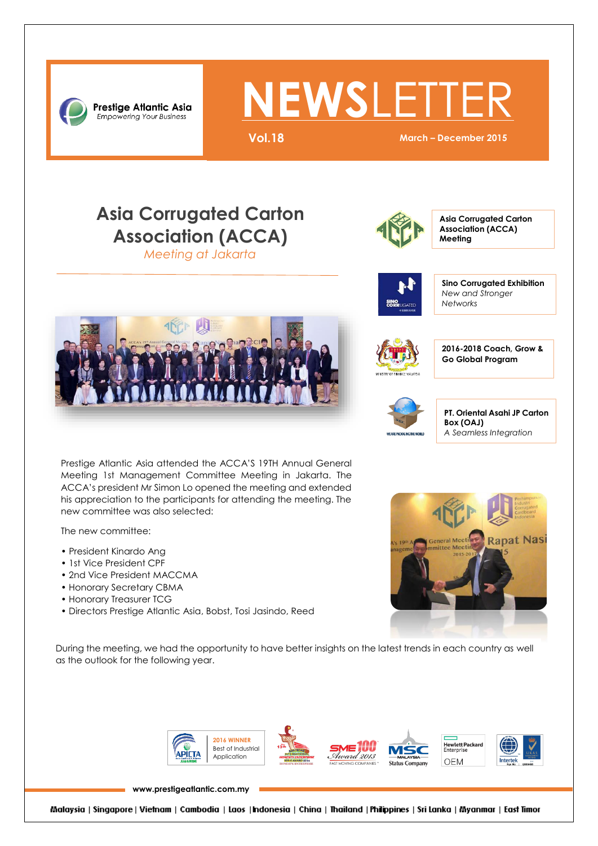

# **NEWSLETT**

**Vol.18 March – December 2015**

### **Asia Corrugated Carton Association (ACCA)**

*Meeting at Jakarta*



**Asia Corrugated Carton Association (ACCA) Meeting**



**Sino Corrugated Exhibition** *New and Stronger Networks*

**2016-2018 Coach, Grow & Go Global Program**





**PT. Oriental Asahi JP Carton Box (OAJ)** *A Seamless Integration*

**Rapat Nas** 

 ACCA's president Mr Simon Lo opened the meeting and extended Prestige Atlantic Asia attended the ACCA'S 19TH Annual General Meeting 1st Management Committee Meeting in Jakarta. The his appreciation to the participants for attending the meeting. The new committee was also selected:

The new committee:

- President Kinardo Ang
- 1st Vice President CPF
- 2nd Vice President MACCMA
- Honorary Secretary CBMA
- Honorary Treasurer TCG
- Directors Prestige Atlantic Asia, Bobst, Tosi Jasindo, Reed

During the meeting, we had the opportunity to have better insights on the latest trends in each country as well as the outlook for the following year.



**[www.prestigeatlantic.com.my](http://www.prestigeatlantic.com.my/)**

Malaysia | Singapore | Vietnam | Cambodia | Laos | Indonesia | China | Thailand | Philippines | Sri Lanka | Myanmar | East Timor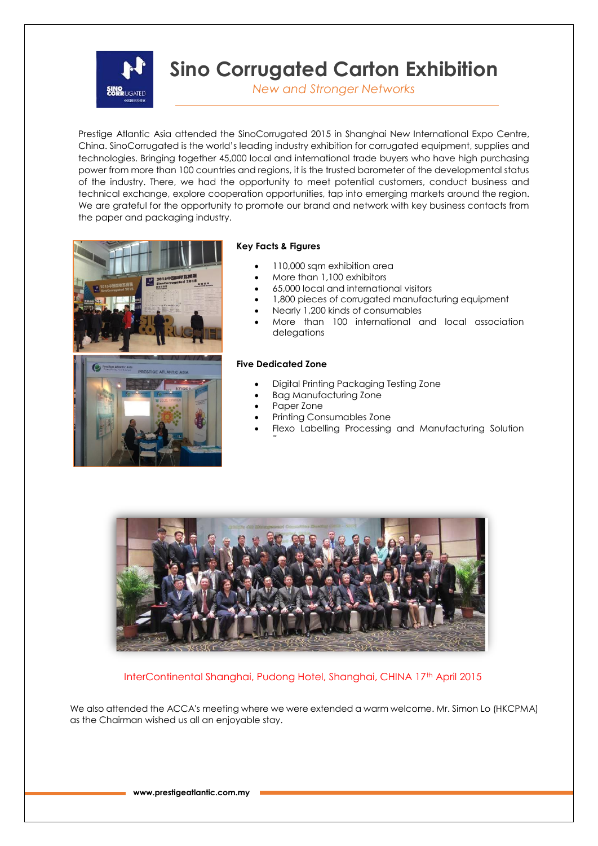

**Sino Corrugated Carton Exhibition**

*New and Stronger Networks*

Prestige Atlantic Asia attended the SinoCorrugated 2015 in Shanghai New International Expo Centre, China. SinoCorrugated is the world's leading industry exhibition for corrugated equipment, supplies and technologies. Bringing together 45,000 local and international trade buyers who have high purchasing power from more than 100 countries and regions, it is the trusted barometer of the developmental status of the industry. There, we had the opportunity to meet potential customers, conduct business and technical exchange, explore cooperation opportunities, tap into emerging markets around the region. We are grateful for the opportunity to promote our brand and network with key business contacts from the paper and packaging industry.



#### **Key Facts & Figures**

- 110,000 sqm exhibition area
- More than 1,100 exhibitors
- 65,000 local and international visitors
- 1,800 pieces of corrugated manufacturing equipment
- Nearly 1,200 kinds of consumables
- More than 100 international and local association delegations

#### **Five Dedicated Zone**

- Digital Printing Packaging Testing Zone
- Bag Manufacturing Zone
- Paper Zone

Zone

- Printing Consumables Zone
- Flexo Labelling Processing and Manufacturing Solution



InterContinental Shanghai, Pudong Hotel, Shanghai, CHINA 17th April 2015

We also attended the ACCA's meeting where we were extended a warm welcome. Mr. Simon Lo (HKCPMA) as the Chairman wished us all an enjoyable stay.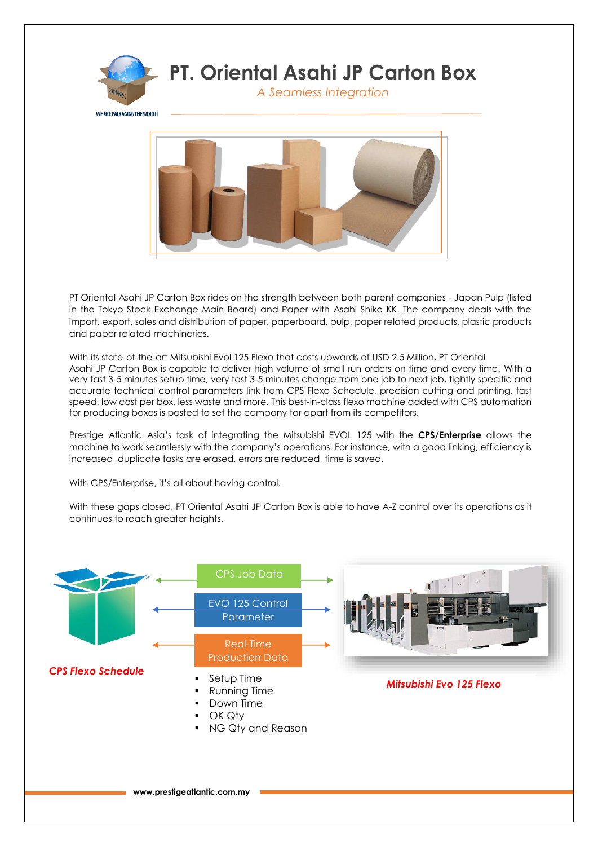

PT Oriental Asahi JP Carton Box rides on the strength between both parent companies - Japan Pulp (listed in the Tokyo Stock Exchange Main Board) and Paper with Asahi Shiko KK. The company deals with the import, export, sales and distribution of paper, paperboard, pulp, paper related products, plastic products and paper related machineries.

With its state-of-the-art Mitsubishi Evol 125 Flexo that costs upwards of USD 2.5 Million, PT Oriental Asahi JP Carton Box is capable to deliver high volume of small run orders on time and every time. With a very fast 3-5 minutes setup time, very fast 3-5 minutes change from one job to next job, tightly specific and accurate technical control parameters link from CPS Flexo Schedule, precision cutting and printing, fast speed, low cost per box, less waste and more. This best-in-class flexo machine added with CPS automation for producing boxes is posted to set the company far apart from its competitors.

Prestige Atlantic Asia's task of integrating the Mitsubishi EVOL 125 with the **CPS/Enterprise** allows the machine to work seamlessly with the company's operations. For instance, with a good linking, efficiency is increased, duplicate tasks are erased, errors are reduced, time is saved.

With CPS/Enterprise, it's all about having control.

With these gaps closed, PT Oriental Asahi JP Carton Box is able to have A-Z control over its operations as it continues to reach greater heights.